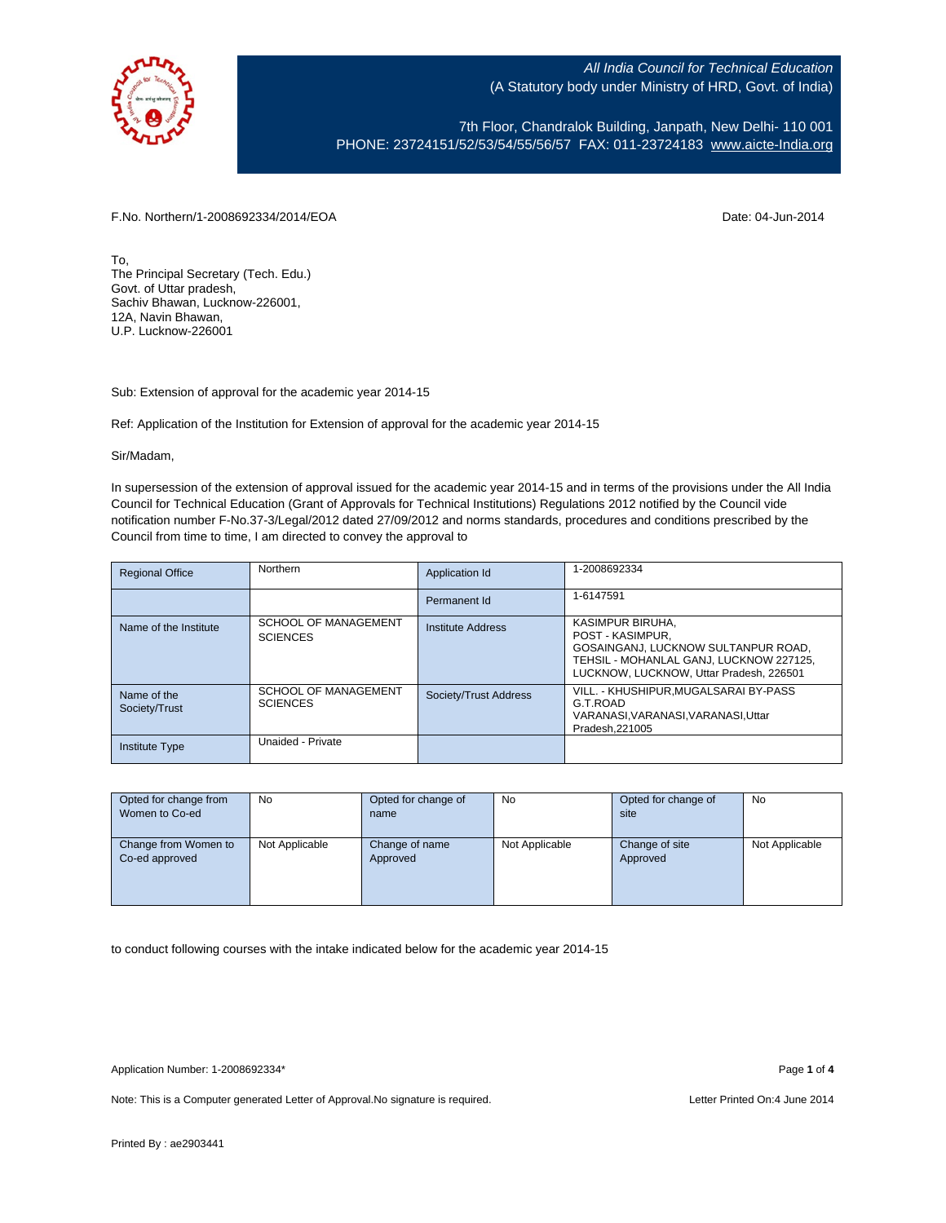

7th Floor, Chandralok Building, Janpath, New Delhi- 110 001 PHONE: 23724151/52/53/54/55/56/57 FAX: 011-23724183 [www.aicte-India.org](http://www.aicte-india.org/)

F.No. Northern/1-2008692334/2014/EOA Date: 04-Jun-2014

To, The Principal Secretary (Tech. Edu.) Govt. of Uttar pradesh, Sachiv Bhawan, Lucknow-226001, 12A, Navin Bhawan, U.P. Lucknow-226001

Sub: Extension of approval for the academic year 2014-15

Ref: Application of the Institution for Extension of approval for the academic year 2014-15

## Sir/Madam,

In supersession of the extension of approval issued for the academic year 2014-15 and in terms of the provisions under the All India Council for Technical Education (Grant of Approvals for Technical Institutions) Regulations 2012 notified by the Council vide notification number F-No.37-3/Legal/2012 dated 27/09/2012 and norms standards, procedures and conditions prescribed by the Council from time to time, I am directed to convey the approval to

| <b>Regional Office</b>       | Northern                                       | Application Id           | 1-2008692334                                                                                                                                                      |
|------------------------------|------------------------------------------------|--------------------------|-------------------------------------------------------------------------------------------------------------------------------------------------------------------|
|                              |                                                | Permanent Id             | 1-6147591                                                                                                                                                         |
| Name of the Institute        | <b>SCHOOL OF MANAGEMENT</b><br><b>SCIENCES</b> | <b>Institute Address</b> | KASIMPUR BIRUHA.<br>POST - KASIMPUR.<br>GOSAINGANJ, LUCKNOW SULTANPUR ROAD.<br>TEHSIL - MOHANLAL GANJ, LUCKNOW 227125,<br>LUCKNOW, LUCKNOW, Uttar Pradesh, 226501 |
| Name of the<br>Society/Trust | <b>SCHOOL OF MANAGEMENT</b><br><b>SCIENCES</b> | Society/Trust Address    | VILL. - KHUSHIPUR.MUGALSARAI BY-PASS<br>G.T.ROAD<br>VARANASI, VARANASI, VARANASI, Uttar<br>Pradesh.221005                                                         |
| <b>Institute Type</b>        | Unaided - Private                              |                          |                                                                                                                                                                   |

| Opted for change from | No.            | Opted for change of | No             | Opted for change of | No             |
|-----------------------|----------------|---------------------|----------------|---------------------|----------------|
| Women to Co-ed        |                | name                |                | site                |                |
|                       |                |                     |                |                     |                |
| Change from Women to  | Not Applicable | Change of name      | Not Applicable | Change of site      | Not Applicable |
| Co-ed approved        |                | Approved            |                | Approved            |                |
|                       |                |                     |                |                     |                |
|                       |                |                     |                |                     |                |
|                       |                |                     |                |                     |                |

to conduct following courses with the intake indicated below for the academic year 2014-15

Note: This is a Computer generated Letter of Approval. No signature is required. Letter Printed On:4 June 2014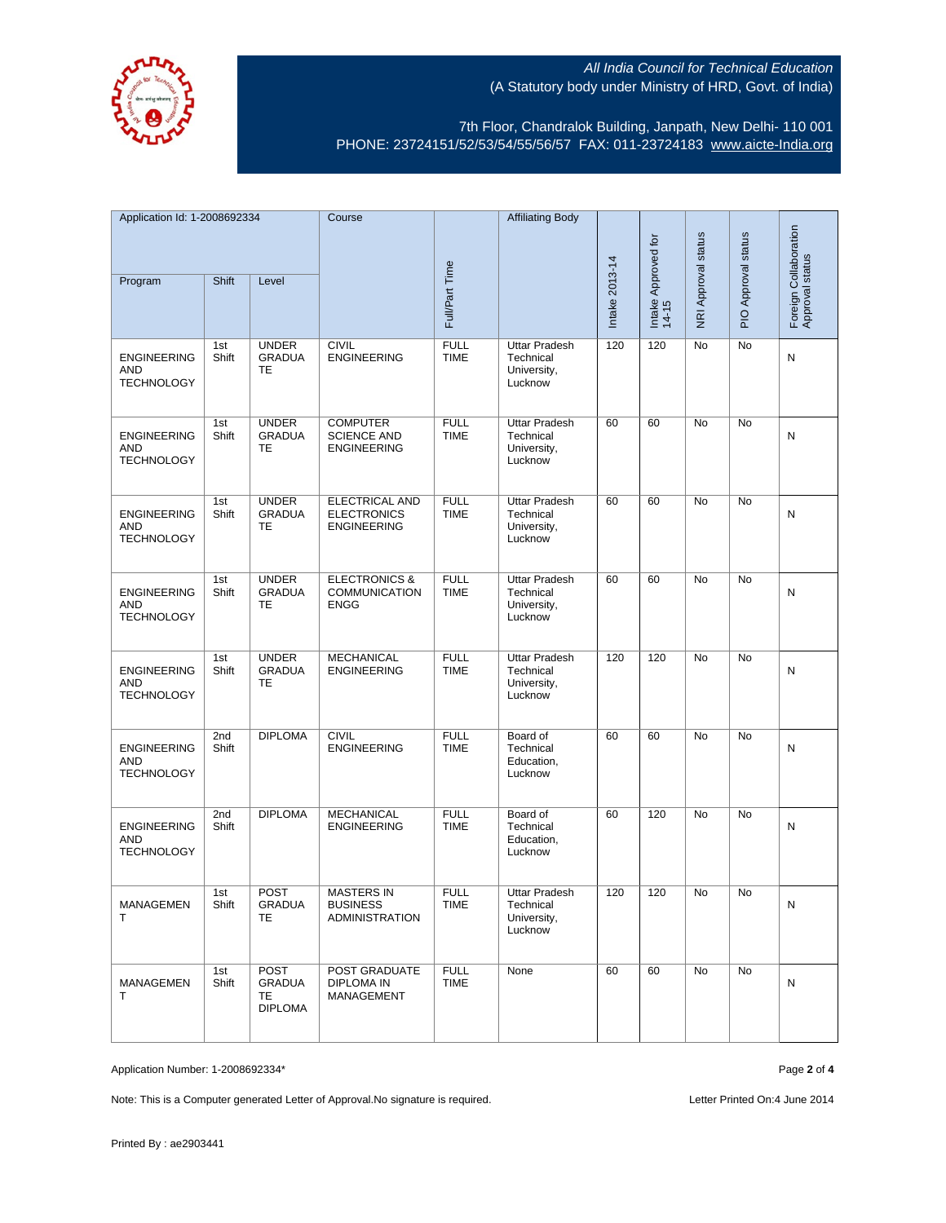

7th Floor, Chandralok Building, Janpath, New Delhi- 110 001 PHONE: 23724151/52/53/54/55/56/57 FAX: 011-23724183 [www.aicte-India.org](http://www.aicte-india.org/)

| Application Id: 1-2008692334                          |              | Course                                               |                                                                   | <b>Affiliating Body</b>    |                                                             |                |                              |                     |                     |                                          |
|-------------------------------------------------------|--------------|------------------------------------------------------|-------------------------------------------------------------------|----------------------------|-------------------------------------------------------------|----------------|------------------------------|---------------------|---------------------|------------------------------------------|
|                                                       |              |                                                      |                                                                   |                            |                                                             |                |                              |                     |                     |                                          |
| Program                                               | Shift        | Level                                                |                                                                   | Full/Part Time             |                                                             | Intake 2013-14 | Intake Approved for<br>14-15 | NRI Approval status | PIO Approval status | Foreign Collaboration<br>Approval status |
| <b>ENGINEERING</b><br><b>AND</b><br><b>TECHNOLOGY</b> | 1st<br>Shift | <b>UNDER</b><br><b>GRADUA</b><br><b>TE</b>           | <b>CIVIL</b><br><b>ENGINEERING</b>                                | <b>FULL</b><br><b>TIME</b> | <b>Uttar Pradesh</b><br>Technical<br>University,<br>Lucknow | 120            | 120                          | No                  | No                  | N                                        |
| <b>ENGINEERING</b><br>AND<br><b>TECHNOLOGY</b>        | 1st<br>Shift | <b>UNDER</b><br><b>GRADUA</b><br>TE                  | <b>COMPUTER</b><br><b>SCIENCE AND</b><br><b>ENGINEERING</b>       | <b>FULL</b><br><b>TIME</b> | <b>Uttar Pradesh</b><br>Technical<br>University,<br>Lucknow | 60             | 60                           | No                  | No                  | N                                        |
| <b>ENGINEERING</b><br>AND<br><b>TECHNOLOGY</b>        | 1st<br>Shift | <b>UNDER</b><br><b>GRADUA</b><br>TE                  | <b>ELECTRICAL AND</b><br><b>ELECTRONICS</b><br><b>ENGINEERING</b> | <b>FULL</b><br><b>TIME</b> | <b>Uttar Pradesh</b><br>Technical<br>University,<br>Lucknow | 60             | 60                           | No                  | <b>No</b>           | N                                        |
| <b>ENGINEERING</b><br>AND<br><b>TECHNOLOGY</b>        | 1st<br>Shift | <b>UNDER</b><br><b>GRADUA</b><br>TE                  | <b>ELECTRONICS &amp;</b><br><b>COMMUNICATION</b><br><b>ENGG</b>   | <b>FULL</b><br><b>TIME</b> | <b>Uttar Pradesh</b><br>Technical<br>University,<br>Lucknow | 60             | 60                           | No                  | No                  | N                                        |
| <b>ENGINEERING</b><br><b>AND</b><br><b>TECHNOLOGY</b> | 1st<br>Shift | <b>UNDER</b><br><b>GRADUA</b><br>TE                  | <b>MECHANICAL</b><br><b>ENGINEERING</b>                           | <b>FULL</b><br><b>TIME</b> | <b>Uttar Pradesh</b><br>Technical<br>University,<br>Lucknow | 120            | 120                          | No                  | No                  | N                                        |
| <b>ENGINEERING</b><br><b>AND</b><br><b>TECHNOLOGY</b> | 2nd<br>Shift | <b>DIPLOMA</b>                                       | <b>CIVIL</b><br><b>ENGINEERING</b>                                | <b>FULL</b><br><b>TIME</b> | Board of<br>Technical<br>Education,<br>Lucknow              | 60             | 60                           | No                  | <b>No</b>           | N                                        |
| <b>ENGINEERING</b><br>AND<br><b>TECHNOLOGY</b>        | 2nd<br>Shift | <b>DIPLOMA</b>                                       | <b>MECHANICAL</b><br><b>ENGINEERING</b>                           | <b>FULL</b><br><b>TIME</b> | Board of<br>Technical<br>Education,<br>Lucknow              | 60             | 120                          | <b>No</b>           | <b>No</b>           | N                                        |
| MANAGEMEN<br>т                                        | 1st<br>Shift | <b>POST</b><br>GRADUA<br>TE                          | <b>MASTERS IN</b><br><b>BUSINESS</b><br><b>ADMINISTRATION</b>     | <b>FULL</b><br>TIME        | <b>Uttar Pradesh</b><br>Technical<br>University,<br>Lucknow | 120            | 120                          | No                  | No                  | N                                        |
| MANAGEMEN<br>т                                        | 1st<br>Shift | <b>POST</b><br><b>GRADUA</b><br>TE<br><b>DIPLOMA</b> | POST GRADUATE<br><b>DIPLOMA IN</b><br>MANAGEMENT                  | <b>FULL</b><br><b>TIME</b> | None                                                        | 60             | 60                           | No                  | No                  | N                                        |

Application Number: 1-2008692334\* Page **2** of **4**

Note: This is a Computer generated Letter of Approval. No signature is required. Letter Printed On:4 June 2014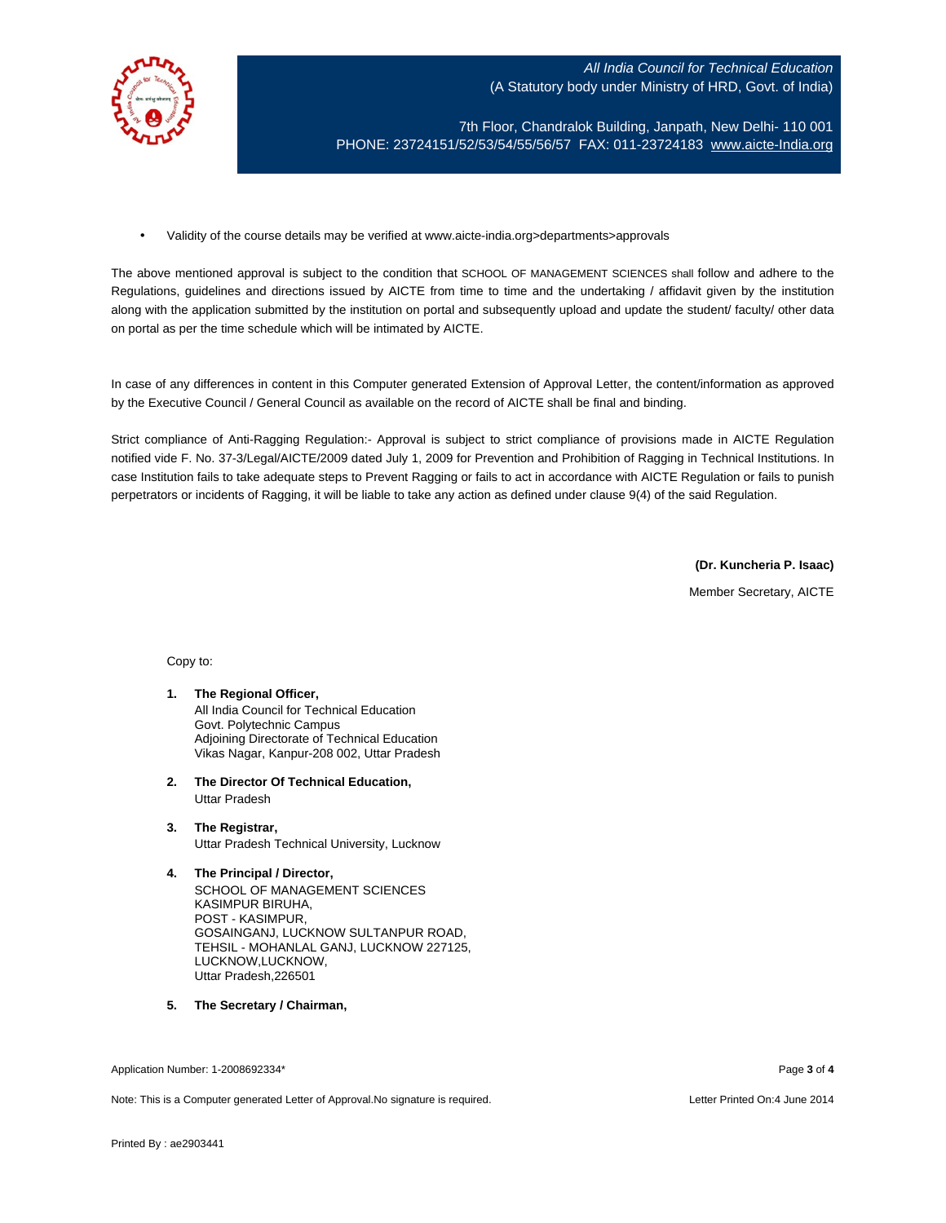

7th Floor, Chandralok Building, Janpath, New Delhi- 110 001 PHONE: 23724151/52/53/54/55/56/57 FAX: 011-23724183 [www.aicte-India.org](http://www.aicte-india.org/)

• Validity of the course details may be verified at www.aicte-india.org>departments>approvals

The above mentioned approval is subject to the condition that SCHOOL OF MANAGEMENT SCIENCES shall follow and adhere to the Regulations, guidelines and directions issued by AICTE from time to time and the undertaking / affidavit given by the institution along with the application submitted by the institution on portal and subsequently upload and update the student/ faculty/ other data on portal as per the time schedule which will be intimated by AICTE.

In case of any differences in content in this Computer generated Extension of Approval Letter, the content/information as approved by the Executive Council / General Council as available on the record of AICTE shall be final and binding.

Strict compliance of Anti-Ragging Regulation:- Approval is subject to strict compliance of provisions made in AICTE Regulation notified vide F. No. 37-3/Legal/AICTE/2009 dated July 1, 2009 for Prevention and Prohibition of Ragging in Technical Institutions. In case Institution fails to take adequate steps to Prevent Ragging or fails to act in accordance with AICTE Regulation or fails to punish perpetrators or incidents of Ragging, it will be liable to take any action as defined under clause 9(4) of the said Regulation.

**(Dr. Kuncheria P. Isaac)**

Member Secretary, AICTE

Copy to:

- **1. The Regional Officer,** All India Council for Technical Education Govt. Polytechnic Campus Adjoining Directorate of Technical Education Vikas Nagar, Kanpur-208 002, Uttar Pradesh
- **2. The Director Of Technical Education,** Uttar Pradesh
- **3. The Registrar,** Uttar Pradesh Technical University, Lucknow
- **4. The Principal / Director,** SCHOOL OF MANAGEMENT SCIENCES KASIMPUR BIRUHA, POST - KASIMPUR, GOSAINGANJ, LUCKNOW SULTANPUR ROAD, TEHSIL - MOHANLAL GANJ, LUCKNOW 227125, LUCKNOW,LUCKNOW, Uttar Pradesh,226501
- **5. The Secretary / Chairman,**

Application Number: 1-2008692334\* Page **3** of **4**

Note: This is a Computer generated Letter of Approval.No signature is required. Letter Printed On:4 June 2014